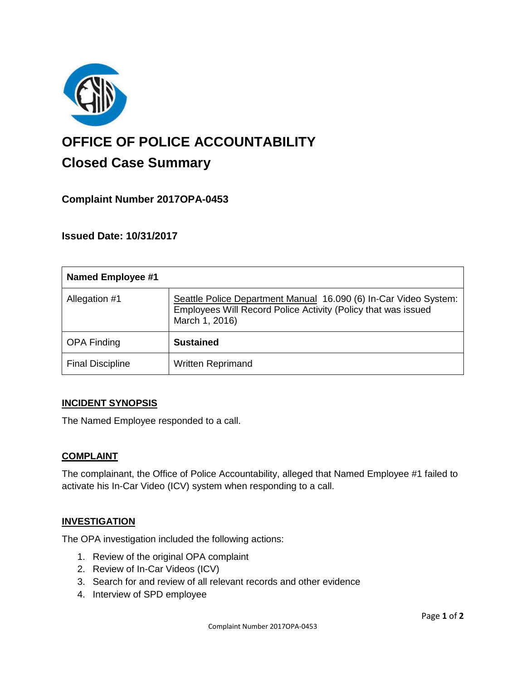

# **OFFICE OF POLICE ACCOUNTABILITY**

# **Closed Case Summary**

# **Complaint Number 2017OPA-0453**

**Issued Date: 10/31/2017**

| <b>Named Employee #1</b> |                                                                                                                                                     |
|--------------------------|-----------------------------------------------------------------------------------------------------------------------------------------------------|
| Allegation #1            | Seattle Police Department Manual 16.090 (6) In-Car Video System:<br>Employees Will Record Police Activity (Policy that was issued<br>March 1, 2016) |
| <b>OPA Finding</b>       | <b>Sustained</b>                                                                                                                                    |
| <b>Final Discipline</b>  | <b>Written Reprimand</b>                                                                                                                            |

## **INCIDENT SYNOPSIS**

The Named Employee responded to a call.

## **COMPLAINT**

The complainant, the Office of Police Accountability, alleged that Named Employee #1 failed to activate his In-Car Video (ICV) system when responding to a call.

#### **INVESTIGATION**

The OPA investigation included the following actions:

- 1. Review of the original OPA complaint
- 2. Review of In-Car Videos (ICV)
- 3. Search for and review of all relevant records and other evidence
- 4. Interview of SPD employee